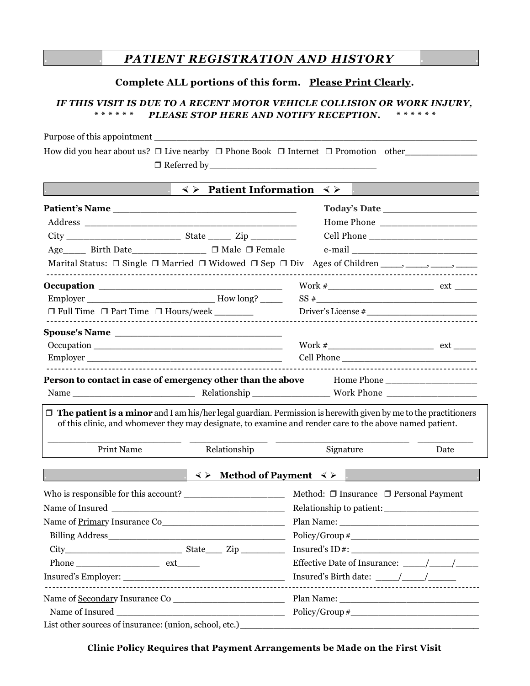# ..*PATIENT REGISTRATION AND HISTORY*..

## **Complete ALL portions of this form. Please Print Clearly.**

#### *IF THIS VISIT IS DUE TO A RECENT MOTOR VEHICLE COLLISION OR WORK INJURY, \* \* \* \* \* \* PLEASE STOP HERE AND NOTIFY RECEPTION. \* \* \* \* \* \**

Purpose of this appointment \_\_\_\_\_\_\_\_\_\_\_\_\_\_\_\_\_\_\_\_\_\_\_\_\_\_\_\_\_\_\_\_\_\_\_\_\_\_\_\_\_\_\_\_\_\_\_\_\_\_\_\_\_\_\_\_\_\_

How did you hear about us? Live nearby Phone Book Internet Promotion other\_\_\_\_\_\_\_\_\_\_\_\_\_

Referred by\_\_\_\_\_\_\_\_\_\_\_\_\_\_\_\_\_\_\_\_\_\_\_\_\_\_\_\_\_\_

# . . **Patient Information** . .

| Age____ Birth Date_____________ □ Male □ Female                                                  |                                                  |                                                                                                                                                                                                                                |      |                                                                                                      |  |                                            |  |
|--------------------------------------------------------------------------------------------------|--------------------------------------------------|--------------------------------------------------------------------------------------------------------------------------------------------------------------------------------------------------------------------------------|------|------------------------------------------------------------------------------------------------------|--|--------------------------------------------|--|
|                                                                                                  |                                                  |                                                                                                                                                                                                                                |      |                                                                                                      |  |                                            |  |
|                                                                                                  |                                                  |                                                                                                                                                                                                                                |      |                                                                                                      |  |                                            |  |
|                                                                                                  |                                                  |                                                                                                                                                                                                                                |      | Marital Status: □ Single □ Married □ Widowed □ Sep □ Div Ages of Children _____, _____, _____, _____ |  |                                            |  |
|                                                                                                  |                                                  |                                                                                                                                                                                                                                |      |                                                                                                      |  |                                            |  |
|                                                                                                  |                                                  | $SS \# \underbrace{\qquad \qquad }$                                                                                                                                                                                            |      |                                                                                                      |  |                                            |  |
| $\Box$ Full Time $\Box$ Part Time $\Box$ Hours/week _______<br>and the control of the control of |                                                  |                                                                                                                                                                                                                                |      |                                                                                                      |  |                                            |  |
|                                                                                                  |                                                  |                                                                                                                                                                                                                                |      |                                                                                                      |  |                                            |  |
|                                                                                                  |                                                  |                                                                                                                                                                                                                                |      |                                                                                                      |  |                                            |  |
|                                                                                                  |                                                  |                                                                                                                                                                                                                                |      |                                                                                                      |  |                                            |  |
| Person to contact in case of emergency other than the above Home Phone ________________          |                                                  |                                                                                                                                                                                                                                |      |                                                                                                      |  |                                            |  |
|                                                                                                  |                                                  |                                                                                                                                                                                                                                |      |                                                                                                      |  |                                            |  |
| <b>Print Name</b>                                                                                | Relationship                                     | Signature                                                                                                                                                                                                                      | Date |                                                                                                      |  |                                            |  |
|                                                                                                  |                                                  |                                                                                                                                                                                                                                |      |                                                                                                      |  |                                            |  |
|                                                                                                  | $\prec$ ><br>Method of Payment $\langle \rangle$ |                                                                                                                                                                                                                                |      |                                                                                                      |  |                                            |  |
| Who is responsible for this account?                                                             |                                                  | Method: □ Insurance □ Personal Payment                                                                                                                                                                                         |      |                                                                                                      |  |                                            |  |
|                                                                                                  |                                                  | Relationship to patient:                                                                                                                                                                                                       |      |                                                                                                      |  |                                            |  |
| $City$ $City$ $Size$ $Zip$                                                                       |                                                  | $\text{Policy}/\text{Group} \, \#$                                                                                                                                                                                             |      |                                                                                                      |  |                                            |  |
|                                                                                                  |                                                  |                                                                                                                                                                                                                                |      | Phone ext                                                                                            |  |                                            |  |
|                                                                                                  |                                                  |                                                                                                                                                                                                                                |      |                                                                                                      |  | Insured's Birth date: $\frac{\sqrt{2}}{2}$ |  |
| Name of <u>Secondary</u> Insurance Co                                                            |                                                  | Plan Name: Name: Name: Name: Name: Name: Name: Name: Name: Name: Name: Name: Name: Name: Name: Name: Name: Name: Name: Name: Name: Name: Name: Name: Name: Name: Name: Name: Name: Name: Name: Name: Name: Name: Name: Name: N |      |                                                                                                      |  |                                            |  |
|                                                                                                  |                                                  |                                                                                                                                                                                                                                |      |                                                                                                      |  |                                            |  |
| List other sources of insurance: (union, school, etc.)                                           |                                                  |                                                                                                                                                                                                                                |      |                                                                                                      |  |                                            |  |

**Clinic Policy Requires that Payment Arrangements be Made on the First Visit**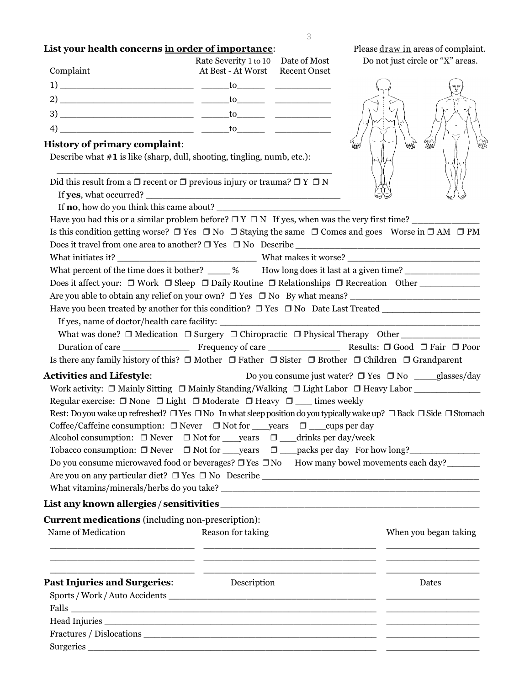## **List your health concerns in order of importance:** Please draw in areas of complaint.

| Complaint                                                                                                                                                                                                                                        | Rate Severity 1 to 10 Date of Most<br>At Best - At Worst Recent Onset |                                                  |
|--------------------------------------------------------------------------------------------------------------------------------------------------------------------------------------------------------------------------------------------------|-----------------------------------------------------------------------|--------------------------------------------------|
|                                                                                                                                                                                                                                                  |                                                                       |                                                  |
| 2)<br>to the contract of the contract of the contract of the contract of the contract of the contract of the contract of the contract of the contract of the contract of the contract of the contract of the contract of the contrac             |                                                                       |                                                  |
| 3 <sup>)</sup><br>to the contract of the contract of the contract of the contract of the contract of the contract of the contract of the contract of the contract of the contract of the contract of the contract of the contract of the contrac |                                                                       |                                                  |
| $\overline{\phantom{a}}$ to                                                                                                                                                                                                                      |                                                                       | the control of the control of the control of the |

#### **History of primary complaint**:

Describe what **#1** is like (sharp, dull, shooting, tingling, numb, etc.):

 \_\_\_\_\_\_\_\_\_\_\_\_\_\_\_\_\_\_\_\_\_\_\_\_\_\_\_\_\_\_\_\_\_\_\_\_\_\_\_\_\_\_\_\_\_\_\_\_\_ Did this result from a  $\Box$  recent or  $\Box$  previous injury or trauma?  $\Box$  Y  $\Box$  N If yes, what occurred?

If **no**, how do you think this came about? \_\_\_\_\_\_\_\_\_\_\_\_\_\_\_\_\_\_\_\_\_\_\_\_

|                                                          | Have you had this or a similar problem before? $\Box Y \Box N$ If yes, when was the very first time?                             |                                                                                                                     |
|----------------------------------------------------------|----------------------------------------------------------------------------------------------------------------------------------|---------------------------------------------------------------------------------------------------------------------|
|                                                          | Is this condition getting worse? $\Box$ Yes $\Box$ No $\Box$ Staying the same $\Box$ Comes and goes Worse in $\Box$ AM $\Box$ PM |                                                                                                                     |
|                                                          |                                                                                                                                  |                                                                                                                     |
|                                                          |                                                                                                                                  |                                                                                                                     |
|                                                          | What percent of the time does it bother? _____ % How long does it last at a given time? ____________                             |                                                                                                                     |
|                                                          | Does it affect your: $\Box$ Work $\Box$ Sleep $\Box$ Daily Routine $\Box$ Relationships $\Box$ Recreation Other                  |                                                                                                                     |
|                                                          |                                                                                                                                  |                                                                                                                     |
|                                                          | Have you been treated by another for this condition? □ Yes □ No Date Last Treated _________________                              |                                                                                                                     |
|                                                          |                                                                                                                                  |                                                                                                                     |
|                                                          | What was done? $\Box$ Medication $\Box$ Surgery $\Box$ Chiropractic $\Box$ Physical Therapy Other                                |                                                                                                                     |
|                                                          |                                                                                                                                  |                                                                                                                     |
|                                                          | Is there any family history of this? $\Box$ Mother $\Box$ Father $\Box$ Sister $\Box$ Brother $\Box$ Children $\Box$ Grandparent |                                                                                                                     |
| <b>Activities and Lifestyle:</b>                         |                                                                                                                                  |                                                                                                                     |
|                                                          |                                                                                                                                  |                                                                                                                     |
|                                                          | Regular exercise: $\Box$ None $\Box$ Light $\Box$ Moderate $\Box$ Heavy $\Box$ times weekly                                      |                                                                                                                     |
|                                                          |                                                                                                                                  | Rest: Do you wake up refreshed? □ Yes □ No In what sleep position do you typically wake up? □ Back □ Side □ Stomach |
|                                                          |                                                                                                                                  |                                                                                                                     |
|                                                          | Alcohol consumption: □ Never □ Not for ______ years □ ______drinks per day/week                                                  |                                                                                                                     |
|                                                          | Tobacco consumption: $\Box$ Never $\Box$ Not for ____years $\Box$ ___packs per day For how long?                                 |                                                                                                                     |
|                                                          | Do you consume microwaved food or beverages? □ Yes □ No How many bowel movements each day?                                       |                                                                                                                     |
|                                                          |                                                                                                                                  |                                                                                                                     |
|                                                          |                                                                                                                                  |                                                                                                                     |
|                                                          |                                                                                                                                  |                                                                                                                     |
| <b>Current medications</b> (including non-prescription): |                                                                                                                                  |                                                                                                                     |
| Name of Medication                                       | Reason for taking                                                                                                                | When you began taking                                                                                               |
|                                                          |                                                                                                                                  |                                                                                                                     |
|                                                          |                                                                                                                                  |                                                                                                                     |
| <b>Past Injuries and Surgeries:</b>                      | Description                                                                                                                      | Dates                                                                                                               |
|                                                          |                                                                                                                                  |                                                                                                                     |
|                                                          |                                                                                                                                  |                                                                                                                     |
|                                                          |                                                                                                                                  |                                                                                                                     |
|                                                          |                                                                                                                                  |                                                                                                                     |
| Surgeries                                                |                                                                                                                                  |                                                                                                                     |

Do not just circle or "X" areas.